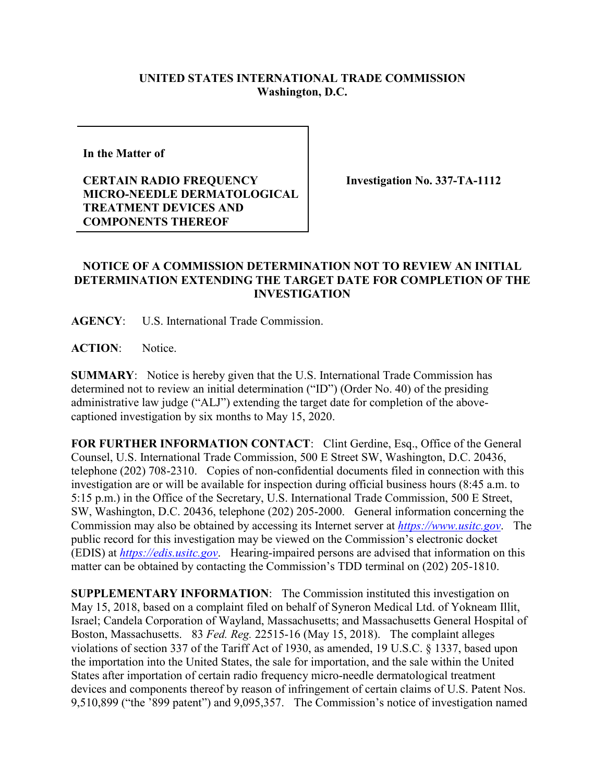## **UNITED STATES INTERNATIONAL TRADE COMMISSION Washington, D.C.**

**In the Matter of** 

## **CERTAIN RADIO FREQUENCY MICRO-NEEDLE DERMATOLOGICAL TREATMENT DEVICES AND COMPONENTS THEREOF**

**Investigation No. 337-TA-1112**

## **NOTICE OF A COMMISSION DETERMINATION NOT TO REVIEW AN INITIAL DETERMINATION EXTENDING THE TARGET DATE FOR COMPLETION OF THE INVESTIGATION**

**AGENCY**: U.S. International Trade Commission.

**ACTION**: Notice.

**SUMMARY**: Notice is hereby given that the U.S. International Trade Commission has determined not to review an initial determination ("ID") (Order No. 40) of the presiding administrative law judge ("ALJ") extending the target date for completion of the abovecaptioned investigation by six months to May 15, 2020.

**FOR FURTHER INFORMATION CONTACT**: Clint Gerdine, Esq., Office of the General Counsel, U.S. International Trade Commission, 500 E Street SW, Washington, D.C. 20436, telephone (202) 708-2310. Copies of non-confidential documents filed in connection with this investigation are or will be available for inspection during official business hours (8:45 a.m. to 5:15 p.m.) in the Office of the Secretary, U.S. International Trade Commission, 500 E Street, SW, Washington, D.C. 20436, telephone (202) 205-2000. General information concerning the Commission may also be obtained by accessing its Internet server at *[https://www.usitc.gov](https://www.usitc.gov/)*. The public record for this investigation may be viewed on the Commission's electronic docket (EDIS) at *[https://edis.usitc.gov](https://edis.usitc.gov/)*. Hearing-impaired persons are advised that information on this matter can be obtained by contacting the Commission's TDD terminal on (202) 205-1810.

**SUPPLEMENTARY INFORMATION**: The Commission instituted this investigation on May 15, 2018, based on a complaint filed on behalf of Syneron Medical Ltd. of Yokneam Illit, Israel; Candela Corporation of Wayland, Massachusetts; and Massachusetts General Hospital of Boston, Massachusetts. 83 *Fed. Reg.* 22515-16 (May 15, 2018). The complaint alleges violations of section 337 of the Tariff Act of 1930, as amended, 19 U.S.C. § 1337, based upon the importation into the United States, the sale for importation, and the sale within the United States after importation of certain radio frequency micro-needle dermatological treatment devices and components thereof by reason of infringement of certain claims of U.S. Patent Nos. 9,510,899 ("the '899 patent") and 9,095,357. The Commission's notice of investigation named